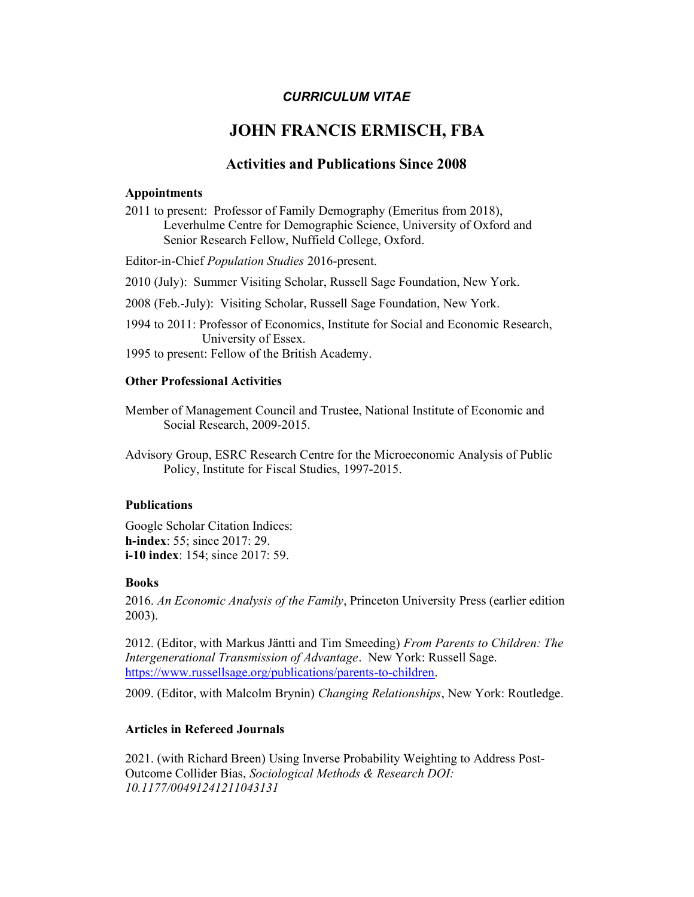## CURRICULUM VITAE

# JOHN FRANCIS ERMISCH, FBA

# Activities and Publications Since 2008

### Appointments

2011 to present: Professor of Family Demography (Emeritus from 2018), Leverhulme Centre for Demographic Science, University of Oxford and Senior Research Fellow, Nuffield College, Oxford.

Editor-in-Chief Population Studies 2016-present.

2010 (July): Summer Visiting Scholar, Russell Sage Foundation, New York.

2008 (Feb.-July): Visiting Scholar, Russell Sage Foundation, New York.

1994 to 2011: Professor of Economics, Institute for Social and Economic Research, University of Essex.

1995 to present: Fellow of the British Academy.

### Other Professional Activities

Member of Management Council and Trustee, National Institute of Economic and Social Research, 2009-2015.

Advisory Group, ESRC Research Centre for the Microeconomic Analysis of Public Policy, Institute for Fiscal Studies, 1997-2015.

### Publications

Google Scholar Citation Indices: h-index: 55; since 2017: 29. i-10 index: 154; since 2017: 59.

### Books

2016. An Economic Analysis of the Family, Princeton University Press (earlier edition 2003).

2012. (Editor, with Markus Jäntti and Tim Smeeding) From Parents to Children: The Intergenerational Transmission of Advantage. New York: Russell Sage. https://www.russellsage.org/publications/parents-to-children.

2009. (Editor, with Malcolm Brynin) Changing Relationships, New York: Routledge.

### Articles in Refereed Journals

2021. (with Richard Breen) Using Inverse Probability Weighting to Address Post-Outcome Collider Bias, Sociological Methods & Research DOI: 10.1177/00491241211043131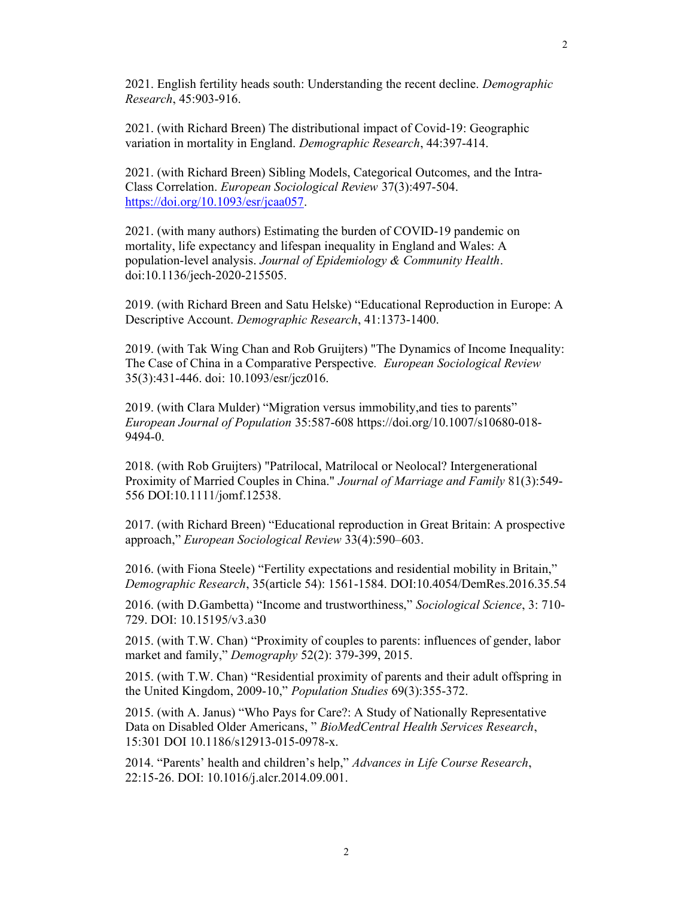2021. English fertility heads south: Understanding the recent decline. Demographic Research, 45:903-916.

2021. (with Richard Breen) The distributional impact of Covid-19: Geographic variation in mortality in England. Demographic Research, 44:397-414.

2021. (with Richard Breen) Sibling Models, Categorical Outcomes, and the Intra-Class Correlation. European Sociological Review 37(3):497-504. https://doi.org/10.1093/esr/jcaa057.

2021. (with many authors) Estimating the burden of COVID-19 pandemic on mortality, life expectancy and lifespan inequality in England and Wales: A population-level analysis. Journal of Epidemiology & Community Health. doi:10.1136/jech-2020-215505.

2019. (with Richard Breen and Satu Helske) "Educational Reproduction in Europe: A Descriptive Account. Demographic Research, 41:1373-1400.

2019. (with Tak Wing Chan and Rob Gruijters) "The Dynamics of Income Inequality: The Case of China in a Comparative Perspective. European Sociological Review 35(3):431-446. doi: 10.1093/esr/jcz016.

2019. (with Clara Mulder) "Migration versus immobility,and ties to parents" European Journal of Population 35:587-608 https://doi.org/10.1007/s10680-018- 9494-0.

2018. (with Rob Gruijters) "Patrilocal, Matrilocal or Neolocal? Intergenerational Proximity of Married Couples in China." Journal of Marriage and Family 81(3):549- 556 DOI:10.1111/jomf.12538.

2017. (with Richard Breen) "Educational reproduction in Great Britain: A prospective approach," European Sociological Review 33(4):590–603.

2016. (with Fiona Steele) "Fertility expectations and residential mobility in Britain," Demographic Research, 35(article 54): 1561-1584. DOI:10.4054/DemRes.2016.35.54

2016. (with D.Gambetta) "Income and trustworthiness," Sociological Science, 3: 710- 729. DOI: 10.15195/v3.a30

2015. (with T.W. Chan) "Proximity of couples to parents: influences of gender, labor market and family," Demography 52(2): 379-399, 2015.

2015. (with T.W. Chan) "Residential proximity of parents and their adult offspring in the United Kingdom, 2009-10," Population Studies 69(3):355-372.

2015. (with A. Janus) "Who Pays for Care?: A Study of Nationally Representative Data on Disabled Older Americans, " BioMedCentral Health Services Research, 15:301 DOI 10.1186/s12913-015-0978-x.

2014. "Parents' health and children's help," Advances in Life Course Research, 22:15-26. DOI: 10.1016/j.alcr.2014.09.001.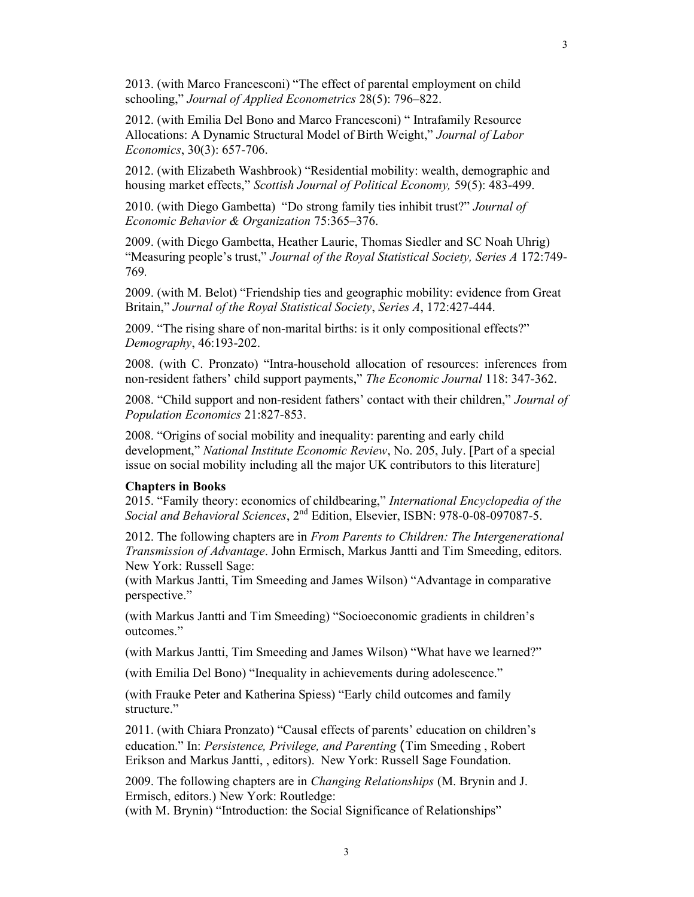2013. (with Marco Francesconi) "The effect of parental employment on child schooling," Journal of Applied Econometrics 28(5): 796–822.

2012. (with Emilia Del Bono and Marco Francesconi) " Intrafamily Resource Allocations: A Dynamic Structural Model of Birth Weight," Journal of Labor Economics, 30(3): 657-706.

2012. (with Elizabeth Washbrook) "Residential mobility: wealth, demographic and housing market effects," Scottish Journal of Political Economy, 59(5): 483-499.

2010. (with Diego Gambetta) "Do strong family ties inhibit trust?" Journal of Economic Behavior & Organization 75:365–376.

2009. (with Diego Gambetta, Heather Laurie, Thomas Siedler and SC Noah Uhrig) "Measuring people's trust," Journal of the Royal Statistical Society, Series A 172:749-769.

2009. (with M. Belot) "Friendship ties and geographic mobility: evidence from Great Britain," Journal of the Royal Statistical Society, Series A, 172:427-444.

2009. "The rising share of non-marital births: is it only compositional effects?" Demography, 46:193-202.

2008. (with C. Pronzato) "Intra-household allocation of resources: inferences from non-resident fathers' child support payments," The Economic Journal 118: 347-362.

2008. "Child support and non-resident fathers' contact with their children," Journal of Population Economics 21:827-853.

2008. "Origins of social mobility and inequality: parenting and early child development," National Institute Economic Review, No. 205, July. [Part of a special issue on social mobility including all the major UK contributors to this literature]

#### Chapters in Books

2015. "Family theory: economics of childbearing," International Encyclopedia of the Social and Behavioral Sciences, 2<sup>nd</sup> Edition, Elsevier, ISBN: 978-0-08-097087-5.

2012. The following chapters are in From Parents to Children: The Intergenerational Transmission of Advantage. John Ermisch, Markus Jantti and Tim Smeeding, editors. New York: Russell Sage:

(with Markus Jantti, Tim Smeeding and James Wilson) "Advantage in comparative perspective."

(with Markus Jantti and Tim Smeeding) "Socioeconomic gradients in children's outcomes."

(with Markus Jantti, Tim Smeeding and James Wilson) "What have we learned?"

(with Emilia Del Bono) "Inequality in achievements during adolescence."

(with Frauke Peter and Katherina Spiess) "Early child outcomes and family structure."

2011. (with Chiara Pronzato) "Causal effects of parents' education on children's education." In: Persistence, Privilege, and Parenting (Tim Smeeding , Robert Erikson and Markus Jantti, , editors). New York: Russell Sage Foundation.

2009. The following chapters are in Changing Relationships (M. Brynin and J. Ermisch, editors.) New York: Routledge:

(with M. Brynin) "Introduction: the Social Significance of Relationships"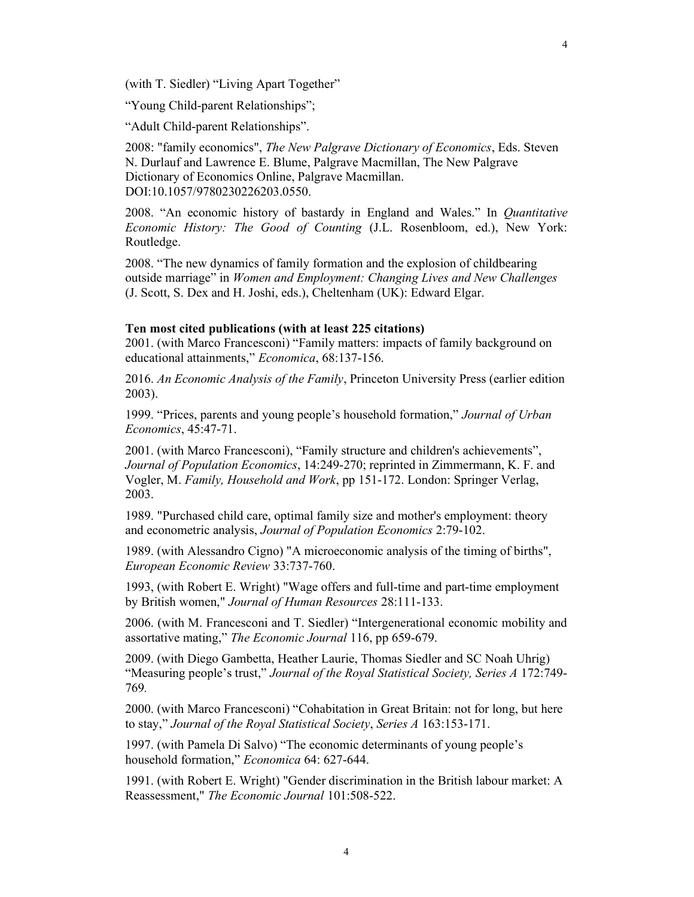"Young Child-parent Relationships";

"Adult Child-parent Relationships".

2008: "family economics", The New Palgrave Dictionary of Economics, Eds. Steven N. Durlauf and Lawrence E. Blume, Palgrave Macmillan, The New Palgrave Dictionary of Economics Online, Palgrave Macmillan. DOI:10.1057/9780230226203.0550.

2008. "An economic history of bastardy in England and Wales." In Quantitative Economic History: The Good of Counting (J.L. Rosenbloom, ed.), New York: Routledge.

2008. "The new dynamics of family formation and the explosion of childbearing outside marriage" in Women and Employment: Changing Lives and New Challenges (J. Scott, S. Dex and H. Joshi, eds.), Cheltenham (UK): Edward Elgar.

#### Ten most cited publications (with at least 225 citations)

2001. (with Marco Francesconi) "Family matters: impacts of family background on educational attainments," Economica, 68:137-156.

2016. An Economic Analysis of the Family, Princeton University Press (earlier edition 2003).

1999. "Prices, parents and young people's household formation," Journal of Urban Economics, 45:47-71.

2001. (with Marco Francesconi), "Family structure and children's achievements", Journal of Population Economics, 14:249-270; reprinted in Zimmermann, K. F. and Vogler, M. Family, Household and Work, pp 151-172. London: Springer Verlag, 2003.

1989. "Purchased child care, optimal family size and mother's employment: theory and econometric analysis, Journal of Population Economics 2:79-102.

1989. (with Alessandro Cigno) "A microeconomic analysis of the timing of births", European Economic Review 33:737-760.

1993, (with Robert E. Wright) "Wage offers and full-time and part-time employment by British women," Journal of Human Resources 28:111-133.

2006. (with M. Francesconi and T. Siedler) "Intergenerational economic mobility and assortative mating," The Economic Journal 116, pp 659-679.

2009. (with Diego Gambetta, Heather Laurie, Thomas Siedler and SC Noah Uhrig) "Measuring people's trust," Journal of the Royal Statistical Society, Series A 172:749-769.

2000. (with Marco Francesconi) "Cohabitation in Great Britain: not for long, but here to stay," Journal of the Royal Statistical Society, Series A 163:153-171.

1997. (with Pamela Di Salvo) "The economic determinants of young people's household formation," Economica 64: 627-644.

1991. (with Robert E. Wright) "Gender discrimination in the British labour market: A Reassessment," The Economic Journal 101:508-522.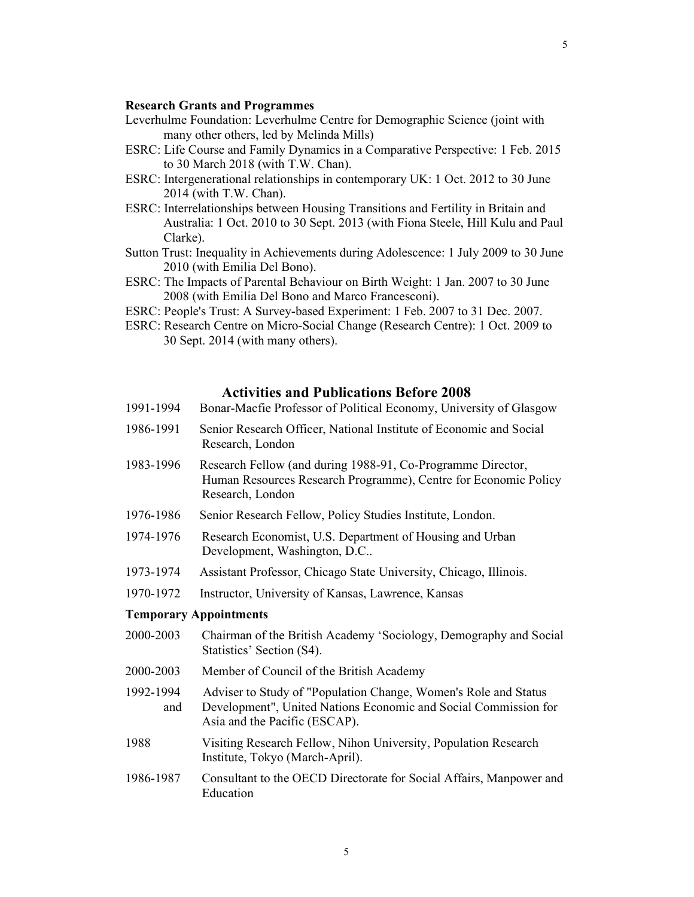#### Research Grants and Programmes

- Leverhulme Foundation: Leverhulme Centre for Demographic Science (joint with many other others, led by Melinda Mills)
- ESRC: Life Course and Family Dynamics in a Comparative Perspective: 1 Feb. 2015 to 30 March 2018 (with T.W. Chan).
- ESRC: Intergenerational relationships in contemporary UK: 1 Oct. 2012 to 30 June 2014 (with T.W. Chan).
- ESRC: Interrelationships between Housing Transitions and Fertility in Britain and Australia: 1 Oct. 2010 to 30 Sept. 2013 (with Fiona Steele, Hill Kulu and Paul Clarke).
- Sutton Trust: Inequality in Achievements during Adolescence: 1 July 2009 to 30 June 2010 (with Emilia Del Bono).
- ESRC: The Impacts of Parental Behaviour on Birth Weight: 1 Jan. 2007 to 30 June 2008 (with Emilia Del Bono and Marco Francesconi).
- ESRC: People's Trust: A Survey-based Experiment: 1 Feb. 2007 to 31 Dec. 2007.
- ESRC: Research Centre on Micro-Social Change (Research Centre): 1 Oct. 2009 to 30 Sept. 2014 (with many others).

### Activities and Publications Before 2008

- 1991-1994 Bonar-Macfie Professor of Political Economy, University of Glasgow
- 1986-1991 Senior Research Officer, National Institute of Economic and Social Research, London
- 1983-1996 Research Fellow (and during 1988-91, Co-Programme Director, Human Resources Research Programme), Centre for Economic Policy Research, London
- 1976-1986 Senior Research Fellow, Policy Studies Institute, London.
- 1974-1976 Research Economist, U.S. Department of Housing and Urban Development, Washington, D.C..
- 1973-1974 Assistant Professor, Chicago State University, Chicago, Illinois.
- 1970-1972 Instructor, University of Kansas, Lawrence, Kansas

#### Temporary Appointments

- 2000-2003 Chairman of the British Academy 'Sociology, Demography and Social Statistics' Section (S4).
- 2000-2003 Member of Council of the British Academy
- 1992-1994 Adviser to Study of "Population Change, Women's Role and Status and Development", United Nations Economic and Social Commission for Asia and the Pacific (ESCAP).
- 1988 Visiting Research Fellow, Nihon University, Population Research Institute, Tokyo (March-April).
- 1986-1987 Consultant to the OECD Directorate for Social Affairs, Manpower and Education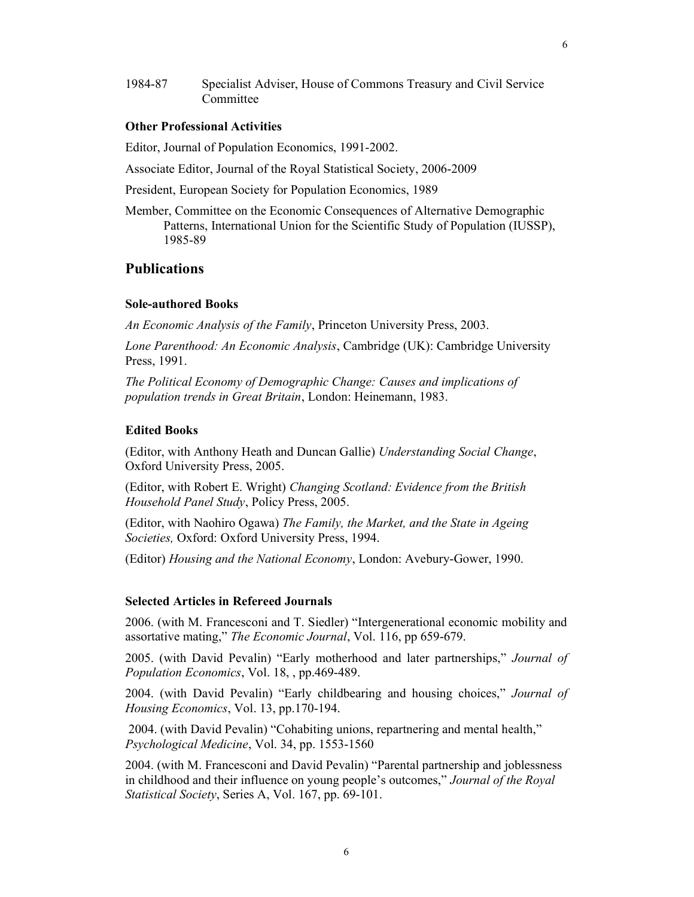1984-87 Specialist Adviser, House of Commons Treasury and Civil Service Committee

#### Other Professional Activities

Editor, Journal of Population Economics, 1991-2002.

Associate Editor, Journal of the Royal Statistical Society, 2006-2009

President, European Society for Population Economics, 1989

Member, Committee on the Economic Consequences of Alternative Demographic Patterns, International Union for the Scientific Study of Population (IUSSP), 1985-89

### **Publications**

#### Sole-authored Books

An Economic Analysis of the Family, Princeton University Press, 2003.

Lone Parenthood: An Economic Analysis, Cambridge (UK): Cambridge University Press, 1991.

The Political Economy of Demographic Change: Causes and implications of population trends in Great Britain, London: Heinemann, 1983.

#### Edited Books

(Editor, with Anthony Heath and Duncan Gallie) Understanding Social Change, Oxford University Press, 2005.

(Editor, with Robert E. Wright) Changing Scotland: Evidence from the British Household Panel Study, Policy Press, 2005.

(Editor, with Naohiro Ogawa) The Family, the Market, and the State in Ageing Societies, Oxford: Oxford University Press, 1994.

(Editor) Housing and the National Economy, London: Avebury-Gower, 1990.

#### Selected Articles in Refereed Journals

2006. (with M. Francesconi and T. Siedler) "Intergenerational economic mobility and assortative mating," The Economic Journal, Vol. 116, pp 659-679.

2005. (with David Pevalin) "Early motherhood and later partnerships," Journal of Population Economics, Vol. 18, , pp.469-489.

2004. (with David Pevalin) "Early childbearing and housing choices," Journal of Housing Economics, Vol. 13, pp.170-194.

 2004. (with David Pevalin) "Cohabiting unions, repartnering and mental health," Psychological Medicine, Vol. 34, pp. 1553-1560

2004. (with M. Francesconi and David Pevalin) "Parental partnership and joblessness in childhood and their influence on young people's outcomes," Journal of the Royal Statistical Society, Series A, Vol. 167, pp. 69-101.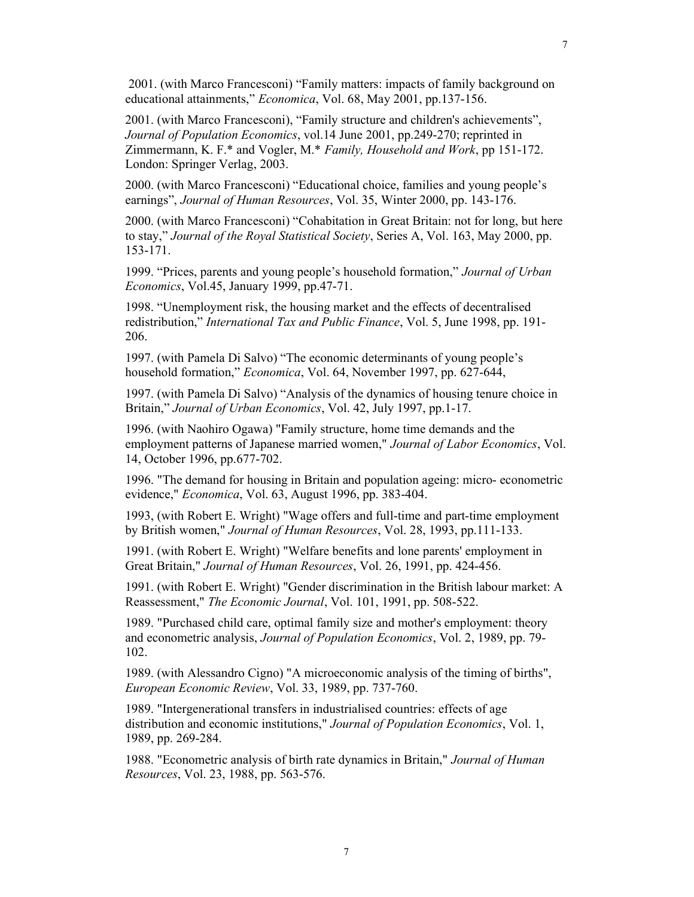2001. (with Marco Francesconi) "Family matters: impacts of family background on educational attainments," Economica, Vol. 68, May 2001, pp.137-156.

2001. (with Marco Francesconi), "Family structure and children's achievements", Journal of Population Economics, vol.14 June 2001, pp.249-270; reprinted in Zimmermann, K. F.\* and Vogler, M.\* Family, Household and Work, pp 151-172. London: Springer Verlag, 2003.

2000. (with Marco Francesconi) "Educational choice, families and young people's earnings", Journal of Human Resources, Vol. 35, Winter 2000, pp. 143-176.

2000. (with Marco Francesconi) "Cohabitation in Great Britain: not for long, but here to stay," Journal of the Royal Statistical Society, Series A, Vol. 163, May 2000, pp. 153-171.

1999. "Prices, parents and young people's household formation," Journal of Urban Economics, Vol.45, January 1999, pp.47-71.

1998. "Unemployment risk, the housing market and the effects of decentralised redistribution," International Tax and Public Finance, Vol. 5, June 1998, pp. 191- 206.

1997. (with Pamela Di Salvo) "The economic determinants of young people's household formation," *Economica*, Vol. 64, November 1997, pp. 627-644,

1997. (with Pamela Di Salvo) "Analysis of the dynamics of housing tenure choice in Britain," Journal of Urban Economics, Vol. 42, July 1997, pp.1-17.

1996. (with Naohiro Ogawa) "Family structure, home time demands and the employment patterns of Japanese married women," Journal of Labor Economics, Vol. 14, October 1996, pp.677-702.

1996. "The demand for housing in Britain and population ageing: micro- econometric evidence," Economica, Vol. 63, August 1996, pp. 383-404.

1993, (with Robert E. Wright) "Wage offers and full-time and part-time employment by British women," Journal of Human Resources, Vol. 28, 1993, pp.111-133.

1991. (with Robert E. Wright) "Welfare benefits and lone parents' employment in Great Britain," Journal of Human Resources, Vol. 26, 1991, pp. 424-456.

1991. (with Robert E. Wright) "Gender discrimination in the British labour market: A Reassessment," The Economic Journal, Vol. 101, 1991, pp. 508-522.

1989. "Purchased child care, optimal family size and mother's employment: theory and econometric analysis, Journal of Population Economics, Vol. 2, 1989, pp. 79- 102.

1989. (with Alessandro Cigno) "A microeconomic analysis of the timing of births", European Economic Review, Vol. 33, 1989, pp. 737-760.

1989. "Intergenerational transfers in industrialised countries: effects of age distribution and economic institutions," Journal of Population Economics, Vol. 1, 1989, pp. 269-284.

1988. "Econometric analysis of birth rate dynamics in Britain," Journal of Human Resources, Vol. 23, 1988, pp. 563-576.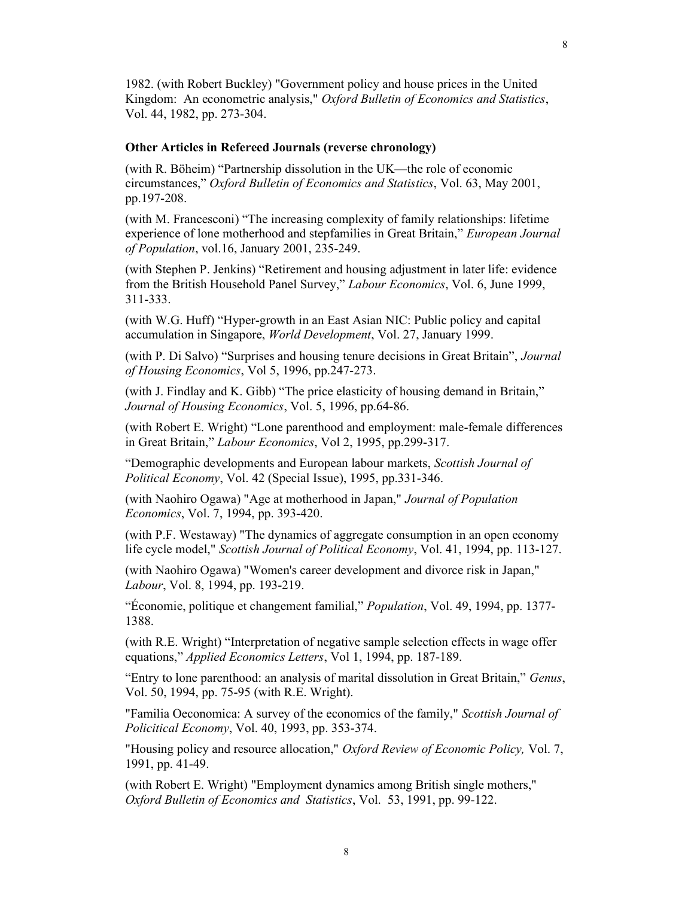1982. (with Robert Buckley) "Government policy and house prices in the United Kingdom: An econometric analysis," Oxford Bulletin of Economics and Statistics, Vol. 44, 1982, pp. 273-304.

#### Other Articles in Refereed Journals (reverse chronology)

(with R. Böheim) "Partnership dissolution in the UK—the role of economic circumstances," Oxford Bulletin of Economics and Statistics, Vol. 63, May 2001, pp.197-208.

(with M. Francesconi) "The increasing complexity of family relationships: lifetime experience of lone motherhood and stepfamilies in Great Britain," European Journal of Population, vol.16, January 2001, 235-249.

(with Stephen P. Jenkins) "Retirement and housing adjustment in later life: evidence from the British Household Panel Survey," Labour Economics, Vol. 6, June 1999, 311-333.

(with W.G. Huff) "Hyper-growth in an East Asian NIC: Public policy and capital accumulation in Singapore, World Development, Vol. 27, January 1999.

(with P. Di Salvo) "Surprises and housing tenure decisions in Great Britain", Journal of Housing Economics, Vol 5, 1996, pp.247-273.

(with J. Findlay and K. Gibb) "The price elasticity of housing demand in Britain," Journal of Housing Economics, Vol. 5, 1996, pp.64-86.

(with Robert E. Wright) "Lone parenthood and employment: male-female differences in Great Britain," Labour Economics, Vol 2, 1995, pp.299-317.

"Demographic developments and European labour markets, Scottish Journal of Political Economy, Vol. 42 (Special Issue), 1995, pp.331-346.

(with Naohiro Ogawa) "Age at motherhood in Japan," Journal of Population Economics, Vol. 7, 1994, pp. 393-420.

(with P.F. Westaway) "The dynamics of aggregate consumption in an open economy life cycle model," Scottish Journal of Political Economy, Vol. 41, 1994, pp. 113-127.

(with Naohiro Ogawa) "Women's career development and divorce risk in Japan," Labour, Vol. 8, 1994, pp. 193-219.

"Économie, politique et changement familial," Population, Vol. 49, 1994, pp. 1377- 1388.

(with R.E. Wright) "Interpretation of negative sample selection effects in wage offer equations," Applied Economics Letters, Vol 1, 1994, pp. 187-189.

"Entry to lone parenthood: an analysis of marital dissolution in Great Britain," Genus, Vol. 50, 1994, pp. 75-95 (with R.E. Wright).

"Familia Oeconomica: A survey of the economics of the family," Scottish Journal of Policitical Economy, Vol. 40, 1993, pp. 353-374.

"Housing policy and resource allocation," Oxford Review of Economic Policy, Vol. 7, 1991, pp. 41-49.

(with Robert E. Wright) "Employment dynamics among British single mothers," Oxford Bulletin of Economics and Statistics, Vol. 53, 1991, pp. 99-122.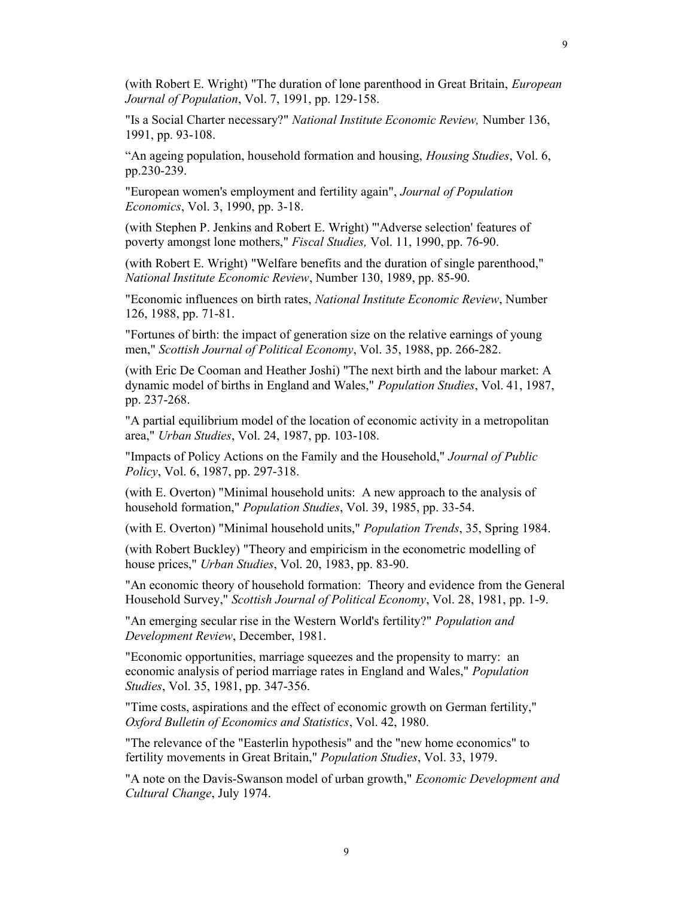(with Robert E. Wright) "The duration of lone parenthood in Great Britain, European Journal of Population, Vol. 7, 1991, pp. 129-158.

"Is a Social Charter necessary?" National Institute Economic Review, Number 136, 1991, pp. 93-108.

"An ageing population, household formation and housing, *Housing Studies*, Vol. 6, pp.230-239.

"European women's employment and fertility again", Journal of Population Economics, Vol. 3, 1990, pp. 3-18.

(with Stephen P. Jenkins and Robert E. Wright) "'Adverse selection' features of poverty amongst lone mothers," Fiscal Studies, Vol. 11, 1990, pp. 76-90.

(with Robert E. Wright) "Welfare benefits and the duration of single parenthood," National Institute Economic Review, Number 130, 1989, pp. 85-90.

"Economic influences on birth rates, National Institute Economic Review, Number 126, 1988, pp. 71-81.

"Fortunes of birth: the impact of generation size on the relative earnings of young men," Scottish Journal of Political Economy, Vol. 35, 1988, pp. 266-282.

(with Eric De Cooman and Heather Joshi) "The next birth and the labour market: A dynamic model of births in England and Wales," Population Studies, Vol. 41, 1987, pp. 237-268.

"A partial equilibrium model of the location of economic activity in a metropolitan area," Urban Studies, Vol. 24, 1987, pp. 103-108.

"Impacts of Policy Actions on the Family and the Household," Journal of Public Policy, Vol. 6, 1987, pp. 297-318.

(with E. Overton) "Minimal household units: A new approach to the analysis of household formation," Population Studies, Vol. 39, 1985, pp. 33-54.

(with E. Overton) "Minimal household units," Population Trends, 35, Spring 1984.

(with Robert Buckley) "Theory and empiricism in the econometric modelling of house prices," Urban Studies, Vol. 20, 1983, pp. 83-90.

"An economic theory of household formation: Theory and evidence from the General Household Survey," Scottish Journal of Political Economy, Vol. 28, 1981, pp. 1-9.

"An emerging secular rise in the Western World's fertility?" Population and Development Review, December, 1981.

"Economic opportunities, marriage squeezes and the propensity to marry: an economic analysis of period marriage rates in England and Wales," Population Studies, Vol. 35, 1981, pp. 347-356.

"Time costs, aspirations and the effect of economic growth on German fertility," Oxford Bulletin of Economics and Statistics, Vol. 42, 1980.

"The relevance of the "Easterlin hypothesis" and the "new home economics" to fertility movements in Great Britain," Population Studies, Vol. 33, 1979.

"A note on the Davis-Swanson model of urban growth," Economic Development and Cultural Change, July 1974.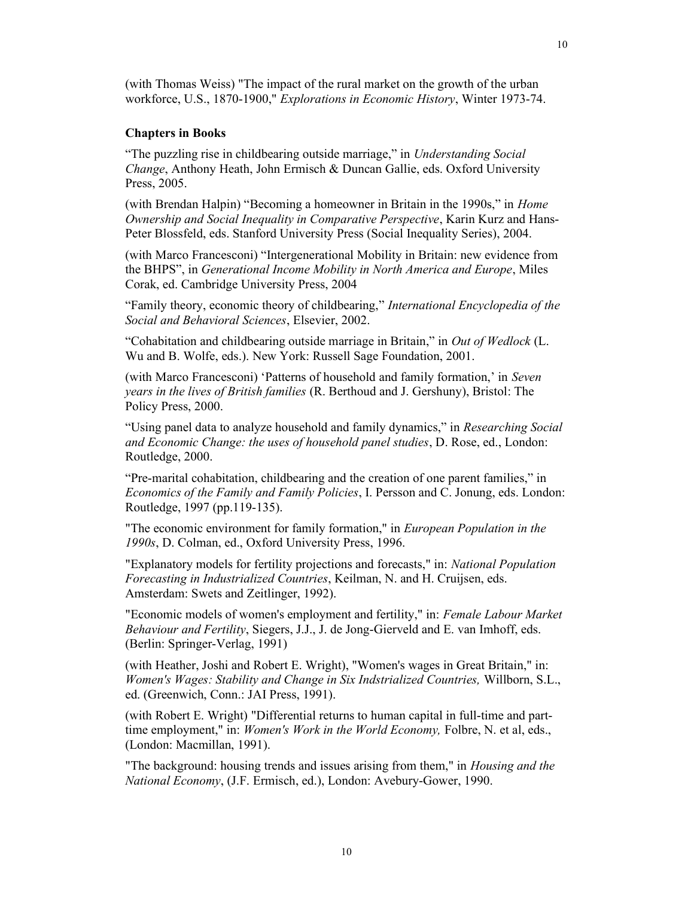10

(with Thomas Weiss) "The impact of the rural market on the growth of the urban workforce, U.S., 1870-1900," Explorations in Economic History, Winter 1973-74.

#### Chapters in Books

"The puzzling rise in childbearing outside marriage," in Understanding Social Change, Anthony Heath, John Ermisch & Duncan Gallie, eds. Oxford University Press, 2005.

(with Brendan Halpin) "Becoming a homeowner in Britain in the 1990s," in Home Ownership and Social Inequality in Comparative Perspective, Karin Kurz and Hans-Peter Blossfeld, eds. Stanford University Press (Social Inequality Series), 2004.

(with Marco Francesconi) "Intergenerational Mobility in Britain: new evidence from the BHPS", in Generational Income Mobility in North America and Europe, Miles Corak, ed. Cambridge University Press, 2004

"Family theory, economic theory of childbearing," International Encyclopedia of the Social and Behavioral Sciences, Elsevier, 2002.

"Cohabitation and childbearing outside marriage in Britain," in Out of Wedlock (L. Wu and B. Wolfe, eds.). New York: Russell Sage Foundation, 2001.

(with Marco Francesconi) 'Patterns of household and family formation,' in Seven years in the lives of British families (R. Berthoud and J. Gershuny), Bristol: The Policy Press, 2000.

"Using panel data to analyze household and family dynamics," in *Researching Social* and Economic Change: the uses of household panel studies, D. Rose, ed., London: Routledge, 2000.

"Pre-marital cohabitation, childbearing and the creation of one parent families," in Economics of the Family and Family Policies, I. Persson and C. Jonung, eds. London: Routledge, 1997 (pp.119-135).

"The economic environment for family formation," in European Population in the 1990s, D. Colman, ed., Oxford University Press, 1996.

"Explanatory models for fertility projections and forecasts," in: National Population Forecasting in Industrialized Countries, Keilman, N. and H. Cruijsen, eds. Amsterdam: Swets and Zeitlinger, 1992).

"Economic models of women's employment and fertility," in: Female Labour Market Behaviour and Fertility, Siegers, J.J., J. de Jong-Gierveld and E. van Imhoff, eds. (Berlin: Springer-Verlag, 1991)

(with Heather, Joshi and Robert E. Wright), "Women's wages in Great Britain," in: Women's Wages: Stability and Change in Six Indstrialized Countries, Willborn, S.L., ed. (Greenwich, Conn.: JAI Press, 1991).

(with Robert E. Wright) "Differential returns to human capital in full-time and parttime employment," in: *Women's Work in the World Economy*, Folbre, N. et al, eds., (London: Macmillan, 1991).

"The background: housing trends and issues arising from them," in *Housing and the* National Economy, (J.F. Ermisch, ed.), London: Avebury-Gower, 1990.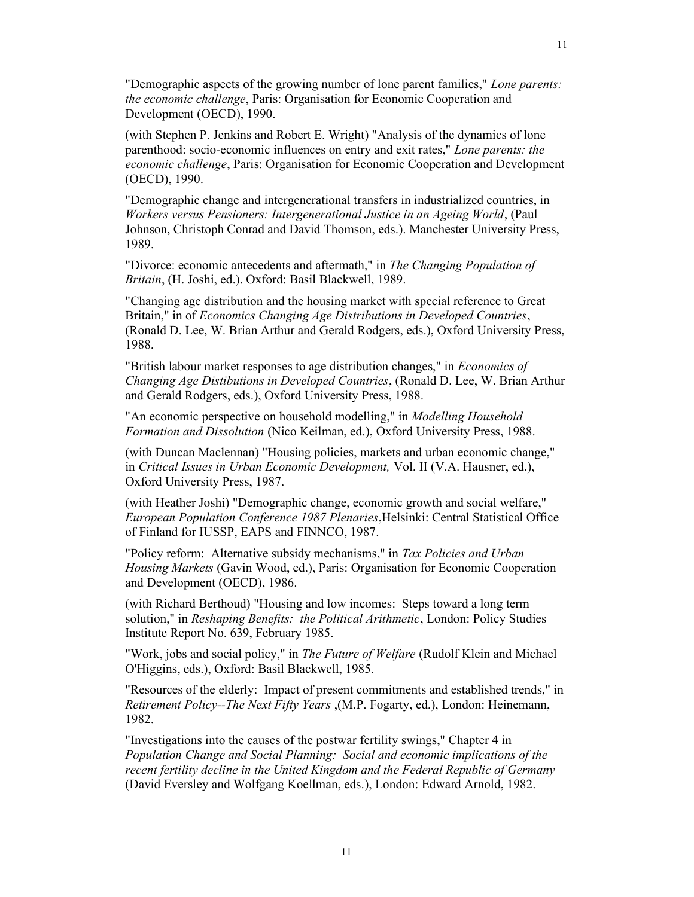"Demographic aspects of the growing number of lone parent families," Lone parents: the economic challenge, Paris: Organisation for Economic Cooperation and Development (OECD), 1990.

(with Stephen P. Jenkins and Robert E. Wright) "Analysis of the dynamics of lone parenthood: socio-economic influences on entry and exit rates," Lone parents: the economic challenge, Paris: Organisation for Economic Cooperation and Development (OECD), 1990.

"Demographic change and intergenerational transfers in industrialized countries, in Workers versus Pensioners: Intergenerational Justice in an Ageing World, (Paul Johnson, Christoph Conrad and David Thomson, eds.). Manchester University Press, 1989.

"Divorce: economic antecedents and aftermath," in The Changing Population of Britain, (H. Joshi, ed.). Oxford: Basil Blackwell, 1989.

"Changing age distribution and the housing market with special reference to Great Britain," in of Economics Changing Age Distributions in Developed Countries, (Ronald D. Lee, W. Brian Arthur and Gerald Rodgers, eds.), Oxford University Press, 1988.

"British labour market responses to age distribution changes," in Economics of Changing Age Distibutions in Developed Countries, (Ronald D. Lee, W. Brian Arthur and Gerald Rodgers, eds.), Oxford University Press, 1988.

"An economic perspective on household modelling," in Modelling Household Formation and Dissolution (Nico Keilman, ed.), Oxford University Press, 1988.

(with Duncan Maclennan) "Housing policies, markets and urban economic change," in Critical Issues in Urban Economic Development, Vol. II (V.A. Hausner, ed.), Oxford University Press, 1987.

(with Heather Joshi) "Demographic change, economic growth and social welfare," European Population Conference 1987 Plenaries,Helsinki: Central Statistical Office of Finland for IUSSP, EAPS and FINNCO, 1987.

"Policy reform: Alternative subsidy mechanisms," in Tax Policies and Urban Housing Markets (Gavin Wood, ed.), Paris: Organisation for Economic Cooperation and Development (OECD), 1986.

(with Richard Berthoud) "Housing and low incomes: Steps toward a long term solution," in Reshaping Benefits: the Political Arithmetic, London: Policy Studies Institute Report No. 639, February 1985.

"Work, jobs and social policy," in The Future of Welfare (Rudolf Klein and Michael O'Higgins, eds.), Oxford: Basil Blackwell, 1985.

"Resources of the elderly: Impact of present commitments and established trends," in Retirement Policy--The Next Fifty Years ,(M.P. Fogarty, ed.), London: Heinemann, 1982.

"Investigations into the causes of the postwar fertility swings," Chapter 4 in Population Change and Social Planning: Social and economic implications of the recent fertility decline in the United Kingdom and the Federal Republic of Germany (David Eversley and Wolfgang Koellman, eds.), London: Edward Arnold, 1982.